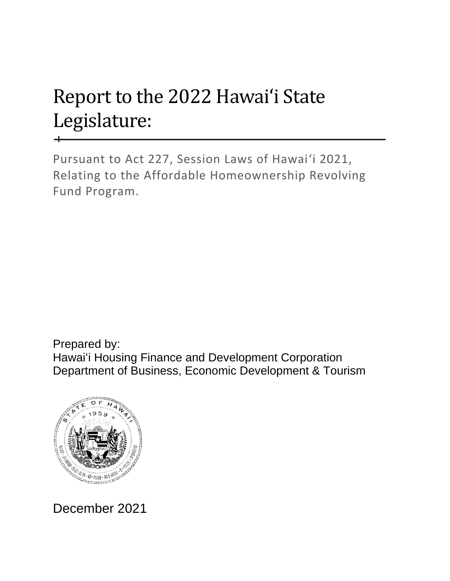## Report to the 2022 Hawaiʻi State Legislature:

Pursuant to Act 227, Session Laws of Hawaiʻi 2021, Relating to the Affordable Homeownership Revolving Fund Program.

Prepared by: Hawaiʻi Housing Finance and Development Corporation Department of Business, Economic Development & Tourism



December 2021